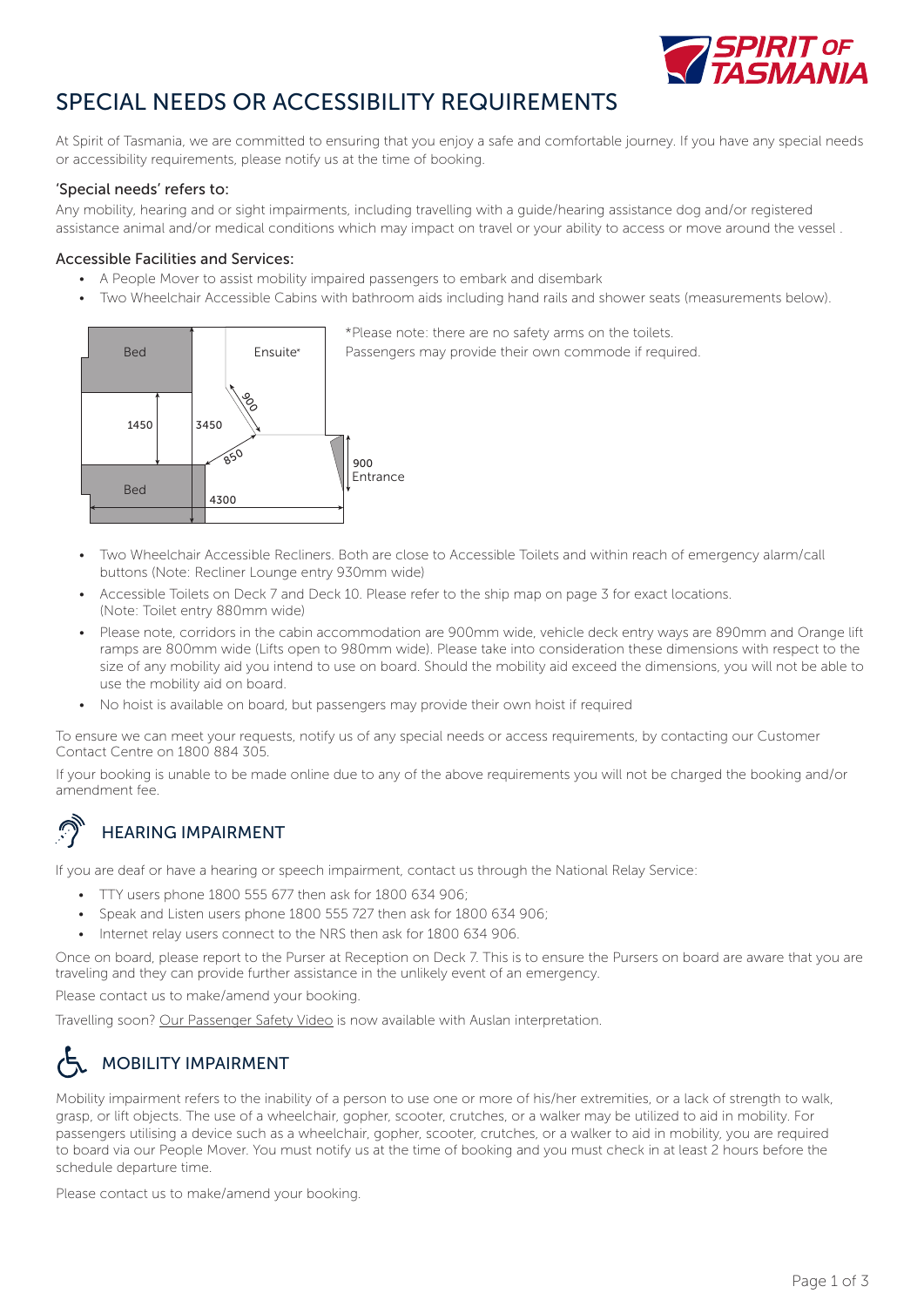

## SPECIAL NEEDS OR ACCESSIBILITY REQUIREMENTS

At Spirit of Tasmania, we are committed to ensuring that you enjoy a safe and comfortable journey. If you have any special needs or accessibility requirements, please notify us at the time of booking.

#### 'Special needs' refers to:

Any mobility, hearing and or sight impairments, including travelling with a guide/hearing assistance dog and/or registered assistance animal and/or medical conditions which may impact on travel or your ability to access or move around the vessel .

#### Accessible Facilities and Services:

- A People Mover to assist mobility impaired passengers to embark and disembark
- Two Wheelchair Accessible Cabins with bathroom aids including hand rails and shower seats (measurements below).



- Two Wheelchair Accessible Recliners. Both are close to Accessible Toilets and within reach of emergency alarm/call buttons (Note: Recliner Lounge entry 930mm wide)
- Accessible Toilets on Deck 7 and Deck 10. Please refer to the ship map on page 3 for exact locations. (Note: Toilet entry 880mm wide)
- Please note, corridors in the cabin accommodation are 900mm wide, vehicle deck entry ways are 890mm and Orange lift ramps are 800mm wide (Lifts open to 980mm wide). Please take into consideration these dimensions with respect to the size of any mobility aid you intend to use on board. Should the mobility aid exceed the dimensions, you will not be able to use the mobility aid on board.
- No hoist is available on board, but passengers may provide their own hoist if required

To ensure we can meet your requests, notify us of any special needs or access requirements, by contacting our Customer Contact Centre on 1800 884 305.

If your booking is unable to be made online due to any of the above requirements you will not be charged the booking and/or amendment fee.

## HEARING IMPAIRMENT

If you are deaf or have a hearing or speech impairment, contact us through the National Relay Service:

- TTY users phone 1800 555 677 then ask for 1800 634 906;
- Speak and Listen users phone 1800 555 727 then ask for 1800 634 906;
- Internet relay users connect to the NRS then ask for 1800 634 906.

Once on board, please report to the Purser at Reception on Deck 7. This is to ensure the Pursers on board are aware that you are traveling and they can provide further assistance in the unlikely event of an emergency.

Please contact us to make/amend your booking.

Travelling soon? [Our Passenger Safety Video](https://youtu.be/mUCL9h1R4JQ) is now available with Auslan interpretation.

# MOBILITY IMPAIRMENT

Mobility impairment refers to the inability of a person to use one or more of his/her extremities, or a lack of strength to walk, grasp, or lift objects. The use of a wheelchair, gopher, scooter, crutches, or a walker may be utilized to aid in mobility. For passengers utilising a device such as a wheelchair, gopher, scooter, crutches, or a walker to aid in mobility, you are required to board via our People Mover. You must notify us at the time of booking and you must check in at least 2 hours before the schedule departure time.

Please contact us to make/amend your booking.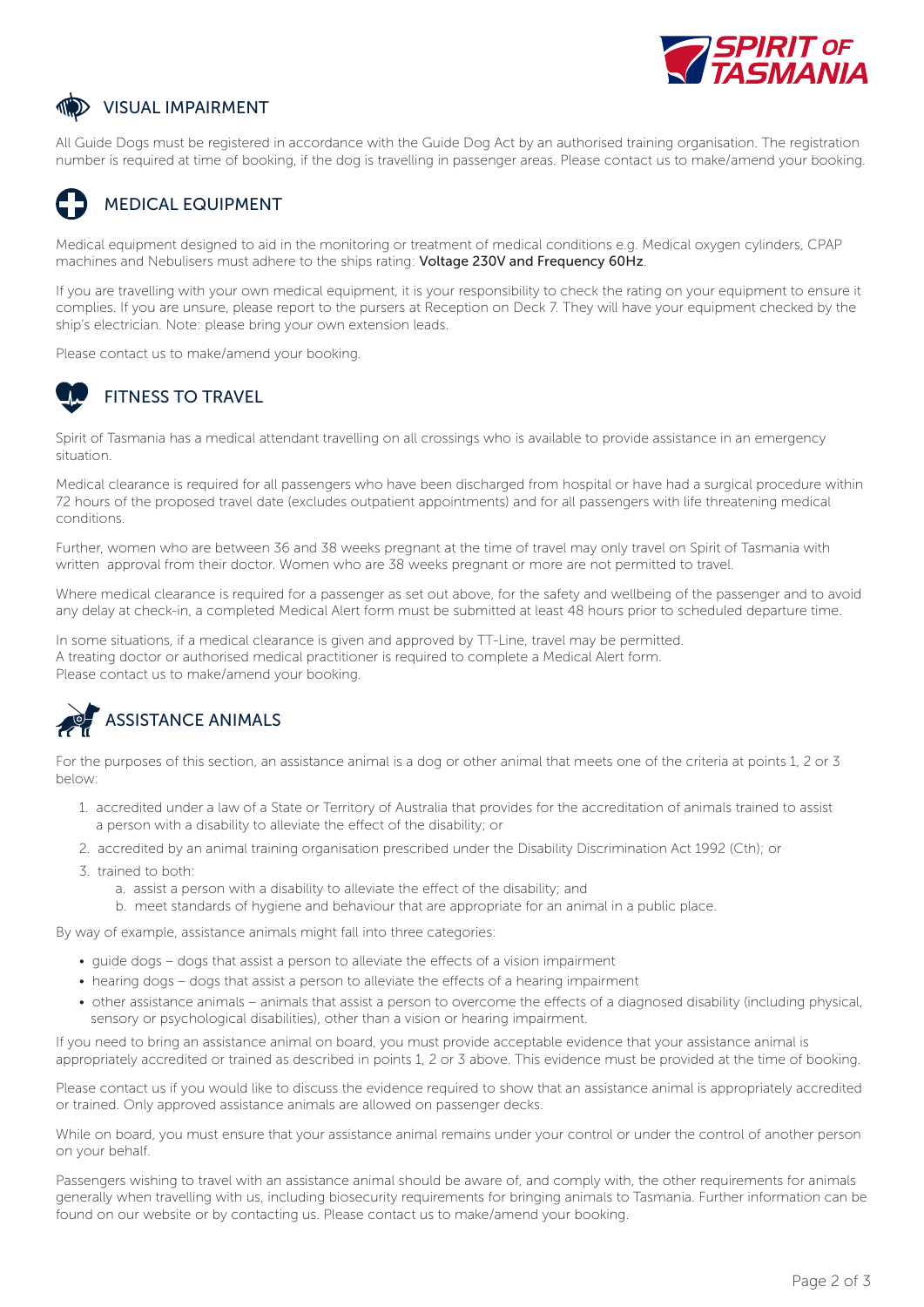

### VISUAL IMPAIRMENT

All Guide Dogs must be registered in accordance with the Guide Dog Act by an authorised training organisation. The registration number is required at time of booking, if the dog is travelling in passenger areas. Please contact us to make/amend your booking.

### MEDICAL EQUIPMENT

Medical equipment designed to aid in the monitoring or treatment of medical conditions e.g. Medical oxygen cylinders, CPAP machines and Nebulisers must adhere to the ships rating: Voltage 230V and Frequency 60Hz.

If you are travelling with your own medical equipment, it is your responsibility to check the rating on your equipment to ensure it complies. If you are unsure, please report to the pursers at Reception on Deck 7. They will have your equipment checked by the ship's electrician. Note: please bring your own extension leads.

Please contact us to make/amend your booking.

## FITNESS TO TRAVEL

Spirit of Tasmania has a medical attendant travelling on all crossings who is available to provide assistance in an emergency situation.

Medical clearance is required for all passengers who have been discharged from hospital or have had a surgical procedure within 72 hours of the proposed travel date (excludes outpatient appointments) and for all passengers with life threatening medical conditions.

Further, women who are between 36 and 38 weeks pregnant at the time of travel may only travel on Spirit of Tasmania with written approval from their doctor. Women who are 38 weeks pregnant or more are not permitted to travel.

Where medical clearance is required for a passenger as set out above, for the safety and wellbeing of the passenger and to avoid any delay at check-in, a completed Medical Alert form must be submitted at least 48 hours prior to scheduled departure time.

In some situations, if a medical clearance is given and approved by TT-Line, travel may be permitted. A treating doctor or authorised medical practitioner is required to complete a Medical Alert form. Please contact us to make/amend your booking.



For the purposes of this section, an assistance animal is a dog or other animal that meets one of the criteria at points 1, 2 or 3 below:

- 1. accredited under a law of a State or Territory of Australia that provides for the accreditation of animals trained to assist a person with a disability to alleviate the effect of the disability; or
- 2. accredited by an animal training organisation prescribed under the Disability Discrimination Act 1992 (Cth); or
- 3. trained to both:
	- a. assist a person with a disability to alleviate the effect of the disability; and
	- b. meet standards of hygiene and behaviour that are appropriate for an animal in a public place.

By way of example, assistance animals might fall into three categories:

- guide dogs dogs that assist a person to alleviate the effects of a vision impairment
- hearing dogs dogs that assist a person to alleviate the effects of a hearing impairment
- other assistance animals animals that assist a person to overcome the effects of a diagnosed disability (including physical, sensory or psychological disabilities), other than a vision or hearing impairment.

If you need to bring an assistance animal on board, you must provide acceptable evidence that your assistance animal is appropriately accredited or trained as described in points 1, 2 or 3 above. This evidence must be provided at the time of booking.

Please contact us if you would like to discuss the evidence required to show that an assistance animal is appropriately accredited or trained. Only approved assistance animals are allowed on passenger decks.

While on board, you must ensure that your assistance animal remains under your control or under the control of another person on your behalf.

Passengers wishing to travel with an assistance animal should be aware of, and comply with, the other requirements for animals generally when travelling with us, including biosecurity requirements for bringing animals to Tasmania. Further information can be found on our website or by contacting us. Please contact us to make/amend your booking